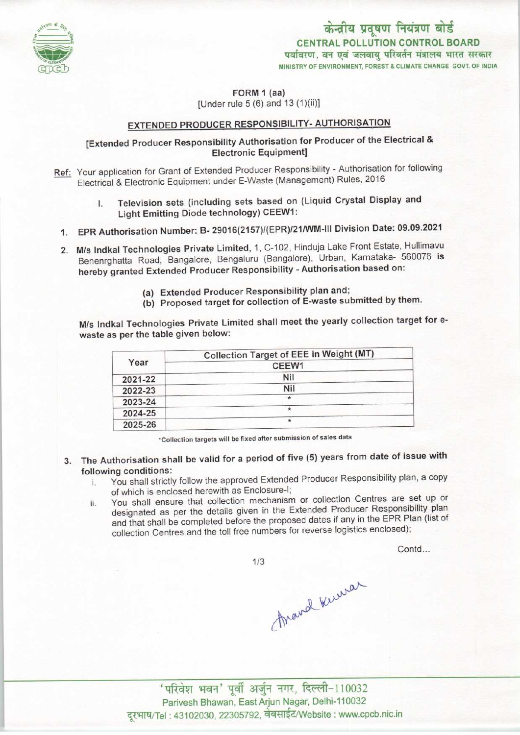

केन्द्रीय प्रदूषण नियंत्रण बोर्ड CENTRAL POLLUTION CONTROL BOARD<br>पर्यावरण, वन एवं जलवाय परिवर्तन मंत्रालय भारत सरकार MINISTRY OF ENVIRONMENT, FOREST & CLIMATE CHANGE GOVT. OF INDIA

FORM 1 (aa)

[Under rule 5 (6) and 13 (1)(ii)]

# EXTENDED PRODUCER RESPONSIBILITY- AUTHORISATION

# [Extended Producer Responsibility Authorisation for Producer of the Electrical & Electronic Equipment!

- Ref: Your application for Grant of Extended Producer Responsibility Authorisation for following Electrical & Electronic Equipment under E-Waste (Management) Rules, 2016
	- I. Television sets (including sets based on (Liquid Crystal Display and Light Emitting Diode technology) CEEW1:
	- 1.EPR Authorisation Number: B- 29016(2157)/(EPR)/21/WM-lll Division Date: 09.09.2021
	- 2. M/s Indkal Technologies Private Limited, 1, C-102, Hinduja Lake Front Estate, Hullimavu Benenrghatta Road, Bangalore, Bengaluru (Bangalore), Urban, Karnataka- 560076 is hereby granted Extended Producer Responsibility - Authorisation based on:
		- (a)Extended Producer Responsibility plan and;
		- (b) Proposed target for collection of E-waste submitted by them.

M/s Indkal Technologies Private Limited shall meet the yearly collection target for ewaste as per the table given below:

| Year    | Collection Target of EEE in Weight (MT) |
|---------|-----------------------------------------|
|         | CEEW1                                   |
| 2021-22 | Nil                                     |
| 2022-23 | Nil                                     |
| 2023-24 | $\star$                                 |
| 2024-25 |                                         |
| 2025-26 | $\star$                                 |

\*Collection targets will be fixed after submission of sales data

- 3. The Authorisation shall be valid for a period of five (5) years from date of issue with following conditions:
	- i. You shall strictly follow the approved Extended Producer Responsibility plan, a copy of which is enclosed herewith as Enclosure-I;
	- ii. You shall ensure that collection mechanism or collection Centres are set up or designated as per the details given in the Extended Producer Responsibility plan and that shall be completed before the proposed dates if any in the EPR Plan (list of collection Centres and the toll free numbers for reverse logistics enclosed);

Contd...

 $1/3$ 

Arand Kuman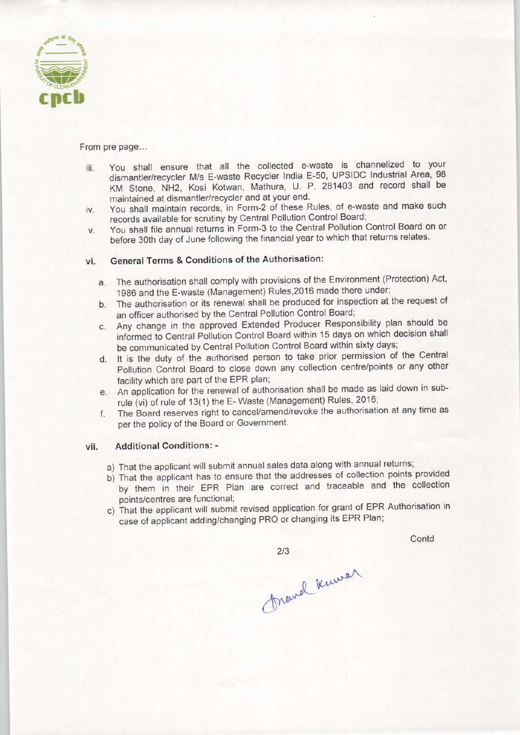

From pre page...

- iii. You shall ensure that all the collected e-waste is channelized to your dismantler/recycler M/s E-waste Recycler India E-50, UPSIDC Industrial Area, 98 KM Stone, NH2, Kosi Kotwan, Mathura, U. P. 281403 and record shall be maintained at dismantler/recycler and at your end.
- iv. You shall maintain records, in Form-2 of these Rules, of e-waste and make such records available for scrutiny by Central Pollution Control Board;
- v. You shall file annual returns in Form-3 to the Central Pollution Control Board on or before 30th day of June following the financial year to which that returns relates.

## vi. General Terms & Conditions of the Authorisation:

- a. The authorisation shall comply with provisions of the Environment (Protection) Act, 1986 and the E-waste (Management) Rules, 2016 made there under;
- b.The authorisation or its renewal shall be produced for inspection at the request of an officer authorised by the Central Pollution Control Board;
- c.Any change in the approved Extended Producer Responsibility plan should be informed to Central Pollution Control Board within 15 days on which decision shall be communicated by Central Pollution Control Board within sixty days;
- d.It is the duty of the authorised person to take prior permission of the Central Pollution Control Board to close down any collection centre/points or any other facility which are part of the EPR plan;
- e.An application for the renewal of authorisation shall be made aslaid down in subrule (vi) of rule of 13(1) the E-Waste (Management) Rules, 2016;
- f. The Board reserves right to cancel/amend/revoke the authorisation at any time as per the policy of the Board or Government.

### vii. Additional Conditions: -

- a) That the applicant will submit annual sales data along with annual returns;
- b) That the applicant has to ensure that the addresses of collection points provided by them in their EPR Plan are correct and traceable and the collection points/centres are functional;
- c) That the applicant will submit revised application for grant of EPR Authorisation in case of applicant adding/changing PRO or changing its EPR Plan;

 $2/3$ 

**Contd** 

thand kumar